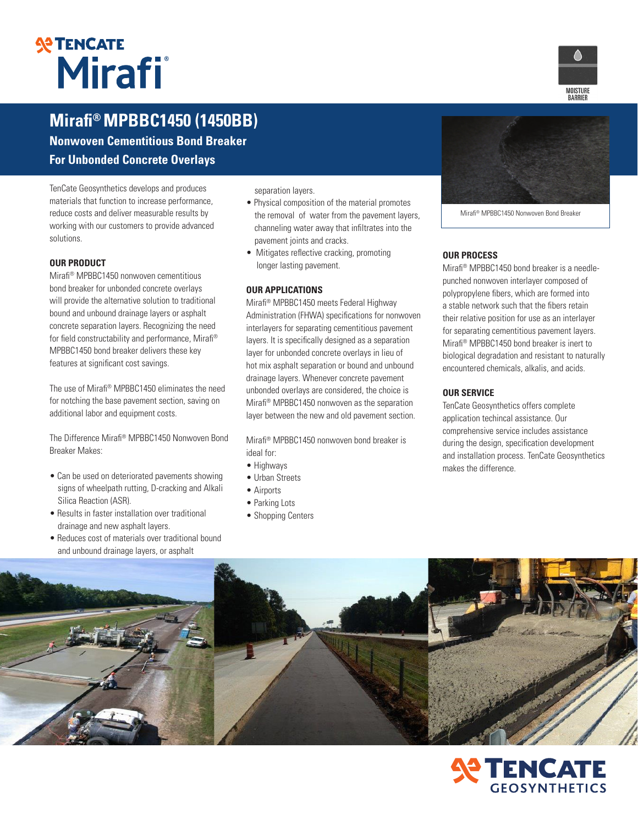# **STENCATE**

## **Mirafi® MPBBC1450 (1450BB)**

**Nonwoven Cementitious Bond Breaker For Unbonded Concrete Overlays**

TenCate Geosynthetics develops and produces materials that function to increase performance, reduce costs and deliver measurable results by working with our customers to provide advanced solutions.

#### **OUR PRODUCT**

Mirafi® MPBBC1450 nonwoven cementitious bond breaker for unbonded concrete overlays will provide the alternative solution to traditional bound and unbound drainage layers or asphalt concrete separation layers. Recognizing the need for field constructability and performance, Mirafi® MPBBC1450 bond breaker delivers these key features at significant cost savings.

The use of Mirafi® MPBBC1450 eliminates the need for notching the base pavement section, saving on additional labor and equipment costs.

The Difference Mirafi® MPBBC1450 Nonwoven Bond Breaker Makes:

- Can be used on deteriorated pavements showing signs of wheelpath rutting, D-cracking and Alkali Silica Reaction (ASR).
- Results in faster installation over traditional drainage and new asphalt layers.
- Reduces cost of materials over traditional bound and unbound drainage layers, or asphalt

separation layers.

- Physical composition of the material promotes the removal of water from the pavement layers, channeling water away that infiltrates into the pavement joints and cracks.
- Mitigates reflective cracking, promoting longer lasting pavement.

#### **OUR APPLICATIONS**

Mirafi® MPBBC1450 meets Federal Highway Administration (FHWA) specifications for nonwoven interlayers for separating cementitious pavement layers. It is specifically designed as a separation layer for unbonded concrete overlays in lieu of hot mix asphalt separation or bound and unbound drainage layers. Whenever concrete pavement unbonded overlays are considered, the choice is Mirafi® MPBBC1450 nonwoven as the separation layer between the new and old pavement section.

Mirafi® MPBBC1450 nonwoven bond breaker is ideal for:

- Highways
- Urban Streets
- Airports
- Parking Lots
- Shopping Centers



Mirafi® MPBBC1450 Nonwoven Bond Breaker

#### **OUR PROCESS**

Mirafi® MPBBC1450 bond breaker is a needlepunched nonwoven interlayer composed of polypropylene fibers, which are formed into a stable network such that the fibers retain their relative position for use as an interlayer for separating cementitious pavement layers. Mirafi® MPBBC1450 bond breaker is inert to biological degradation and resistant to naturally encountered chemicals, alkalis, and acids.

#### **OUR SERVICE**

TenCate Geosynthetics offers complete application techincal assistance. Our comprehensive service includes assistance during the design, specification development and installation process. TenCate Geosynthetics makes the difference.





MOISTURI<br>BARRIER